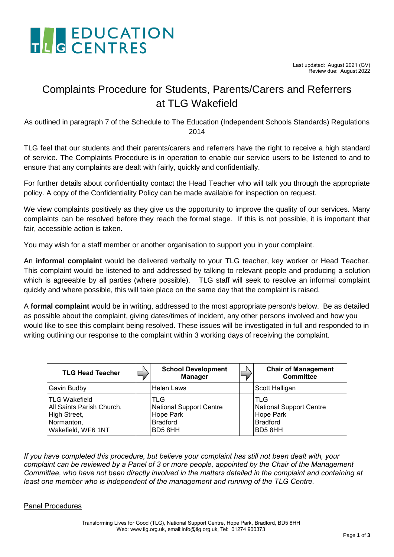

### Complaints Procedure for Students, Parents/Carers and Referrers at TLG Wakefield

As outlined in paragraph 7 of the Schedule to The Education (Independent Schools Standards) Regulations 2014

TLG feel that our students and their parents/carers and referrers have the right to receive a high standard of service. The Complaints Procedure is in operation to enable our service users to be listened to and to ensure that any complaints are dealt with fairly, quickly and confidentially.

For further details about confidentiality contact the Head Teacher who will talk you through the appropriate policy. A copy of the Confidentiality Policy can be made available for inspection on request.

We view complaints positively as they give us the opportunity to improve the quality of our services. Many complaints can be resolved before they reach the formal stage. If this is not possible, it is important that fair, accessible action is taken.

You may wish for a staff member or another organisation to support you in your complaint.

An **informal complaint** would be delivered verbally to your TLG teacher, key worker or Head Teacher. This complaint would be listened to and addressed by talking to relevant people and producing a solution which is agreeable by all parties (where possible). TLG staff will seek to resolve an informal complaint quickly and where possible, this will take place on the same day that the complaint is raised.

A **formal complaint** would be in writing, addressed to the most appropriate person/s below. Be as detailed as possible about the complaint, giving dates/times of incident, any other persons involved and how you would like to see this complaint being resolved. These issues will be investigated in full and responded to in writing outlining our response to the complaint within 3 working days of receiving the complaint.

| <b>TLG Head Teacher</b>                                                                               | <b>School Development</b><br><b>Manager</b>                                      | <b>Chair of Management</b><br><b>Committee</b>                                         |
|-------------------------------------------------------------------------------------------------------|----------------------------------------------------------------------------------|----------------------------------------------------------------------------------------|
| Gavin Budby                                                                                           | Helen Laws                                                                       | Scott Halligan                                                                         |
| <b>TLG Wakefield</b><br>All Saints Parish Church,<br>High Street,<br>Normanton,<br>Wakefield, WF6 1NT | TLG<br><b>National Support Centre</b><br>Hope Park<br><b>Bradford</b><br>BD5 8HH | <b>TLG</b><br><b>National Support Centre</b><br>Hope Park<br><b>Bradford</b><br>BD58HH |

*If you have completed this procedure, but believe your complaint has still not been dealt with, your complaint can be reviewed by a Panel of 3 or more people, appointed by the Chair of the Management Committee, who have not been directly involved in the matters detailed in the complaint and containing at least one member who is independent of the management and running of the TLG Centre.*

#### Panel Procedures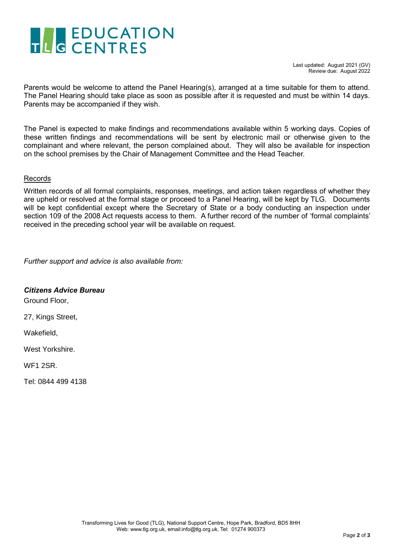# THE EDUCATION

Parents would be welcome to attend the Panel Hearing(s), arranged at a time suitable for them to attend. The Panel Hearing should take place as soon as possible after it is requested and must be within 14 days. Parents may be accompanied if they wish.

The Panel is expected to make findings and recommendations available within 5 working days. Copies of these written findings and recommendations will be sent by electronic mail or otherwise given to the complainant and where relevant, the person complained about. They will also be available for inspection on the school premises by the Chair of Management Committee and the Head Teacher.

#### **Records**

Written records of all formal complaints, responses, meetings, and action taken regardless of whether they are upheld or resolved at the formal stage or proceed to a Panel Hearing, will be kept by TLG. Documents will be kept confidential except where the Secretary of State or a body conducting an inspection under section 109 of the 2008 Act requests access to them. A further record of the number of 'formal complaints' received in the preceding school year will be available on request.

*Further support and advice is also available from:*

#### *Citizens Advice Bureau*

Ground Floor,

27, Kings Street,

Wakefield,

West Yorkshire.

WF1 2SR.

Tel: 0844 499 4138